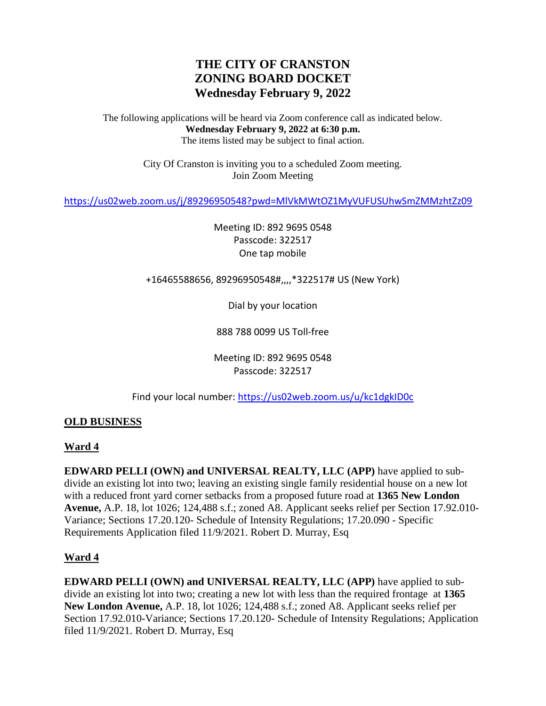# **THE CITY OF CRANSTON ZONING BOARD DOCKET Wednesday February 9, 2022**

The following applications will be heard via Zoom conference call as indicated below. **Wednesday February 9, 2022 at 6:30 p.m.** The items listed may be subject to final action.

> City Of Cranston is inviting you to a scheduled Zoom meeting. Join Zoom Meeting

<https://us02web.zoom.us/j/89296950548?pwd=MlVkMWtOZ1MyVUFUSUhwSmZMMzhtZz09>

Meeting ID: 892 9695 0548 Passcode: 322517 One tap mobile

+16465588656, 89296950548#,,,,\*322517# US (New York)

Dial by your location

888 788 0099 US Toll-free

Meeting ID: 892 9695 0548 Passcode: 322517

Find your local number[: https://us02web.zoom.us/u/kc1dgkID0c](https://us02web.zoom.us/u/kc1dgkID0c)

# **OLD BUSINESS**

# **Ward 4**

**EDWARD PELLI (OWN) and UNIVERSAL REALTY, LLC (APP)** have applied to subdivide an existing lot into two; leaving an existing single family residential house on a new lot with a reduced front yard corner setbacks from a proposed future road at **1365 New London Avenue,** A.P. 18, lot 1026; 124,488 s.f.; zoned A8. Applicant seeks relief per Section 17.92.010- Variance; Sections 17.20.120- Schedule of Intensity Regulations; 17.20.090 - Specific Requirements Application filed 11/9/2021. Robert D. Murray, Esq

# **Ward 4**

**EDWARD PELLI (OWN) and UNIVERSAL REALTY, LLC (APP)** have applied to subdivide an existing lot into two; creating a new lot with less than the required frontage at **1365 New London Avenue,** A.P. 18, lot 1026; 124,488 s.f.; zoned A8. Applicant seeks relief per Section 17.92.010-Variance; Sections 17.20.120- Schedule of Intensity Regulations; Application filed 11/9/2021. Robert D. Murray, Esq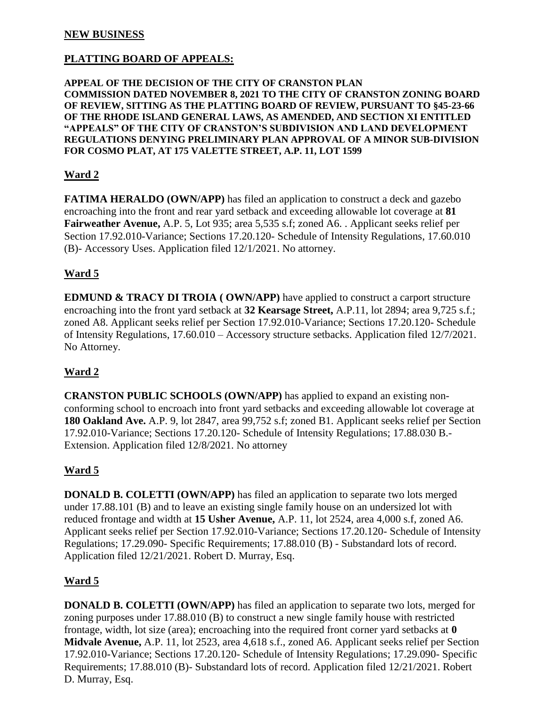### **NEW BUSINESS**

# **PLATTING BOARD OF APPEALS:**

#### **APPEAL OF THE DECISION OF THE CITY OF CRANSTON PLAN COMMISSION DATED NOVEMBER 8, 2021 TO THE CITY OF CRANSTON ZONING BOARD OF REVIEW, SITTING AS THE PLATTING BOARD OF REVIEW, PURSUANT TO §45-23-66 OF THE RHODE ISLAND GENERAL LAWS, AS AMENDED, AND SECTION XI ENTITLED "APPEALS" OF THE CITY OF CRANSTON'S SUBDIVISION AND LAND DEVELOPMENT REGULATIONS DENYING PRELIMINARY PLAN APPROVAL OF A MINOR SUB-DIVISION FOR COSMO PLAT, AT 175 VALETTE STREET, A.P. 11, LOT 1599**

## **Ward 2**

**FATIMA HERALDO (OWN/APP)** has filed an application to construct a deck and gazebo encroaching into the front and rear yard setback and exceeding allowable lot coverage at **81 Fairweather Avenue,** A.P. 5, Lot 935; area 5,535 s.f; zoned A6. . Applicant seeks relief per Section 17.92.010-Variance; Sections 17.20.120- Schedule of Intensity Regulations, 17.60.010 (B)- Accessory Uses. Application filed 12/1/2021. No attorney.

## **Ward 5**

**EDMUND & TRACY DI TROIA ( OWN/APP)** have applied to construct a carport structure encroaching into the front yard setback at **32 Kearsage Street,** A.P.11, lot 2894; area 9,725 s.f.; zoned A8. Applicant seeks relief per Section 17.92.010-Variance; Sections 17.20.120- Schedule of Intensity Regulations, 17.60.010 – Accessory structure setbacks. Application filed 12/7/2021. No Attorney.

# **Ward 2**

**CRANSTON PUBLIC SCHOOLS (OWN/APP)** has applied to expand an existing nonconforming school to encroach into front yard setbacks and exceeding allowable lot coverage at **180 Oakland Ave.** A.P. 9, lot 2847, area 99,752 s.f; zoned B1. Applicant seeks relief per Section 17.92.010-Variance; Sections 17.20.120- Schedule of Intensity Regulations; 17.88.030 B.- Extension. Application filed 12/8/2021. No attorney

### **Ward 5**

**DONALD B. COLETTI (OWN/APP)** has filed an application to separate two lots merged under 17.88.101 (B) and to leave an existing single family house on an undersized lot with reduced frontage and width at **15 Usher Avenue,** A.P. 11, lot 2524, area 4,000 s.f, zoned A6. Applicant seeks relief per Section 17.92.010-Variance; Sections 17.20.120- Schedule of Intensity Regulations; 17.29.090- Specific Requirements; 17.88.010 (B) - Substandard lots of record. Application filed 12/21/2021. Robert D. Murray, Esq.

### **Ward 5**

**DONALD B. COLETTI (OWN/APP)** has filed an application to separate two lots, merged for zoning purposes under 17.88.010 (B) to construct a new single family house with restricted frontage, width, lot size (area); encroaching into the required front corner yard setbacks at **0 Midvale Avenue,** A.P. 11, lot 2523, area 4,618 s.f., zoned A6. Applicant seeks relief per Section 17.92.010-Variance; Sections 17.20.120- Schedule of Intensity Regulations; 17.29.090- Specific Requirements; 17.88.010 (B)- Substandard lots of record. Application filed 12/21/2021. Robert D. Murray, Esq.